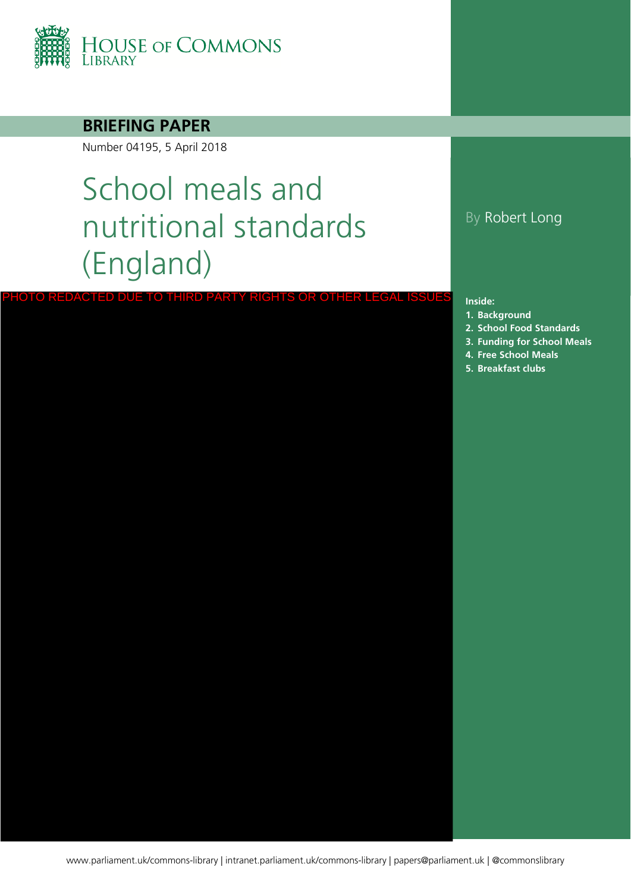

#### **BRIEFING PAPER**

Number 04195, 5 April 2018

# School meals and nutritional standards (England)

PHOTO REDACTED DUE TO THIRD PARTY RIGHTS OR OTHER LEGAL ISSUES

By Robert Long

#### **Inside:**

- **1. [Background](#page-3-0)**
- **2. [School Food Standards](#page-4-0)**
- **3. [Funding for School Meals](#page-6-0)**
- **4. [Free School Meals](#page-7-0)**
- **5. [Breakfast clubs](#page-20-0)**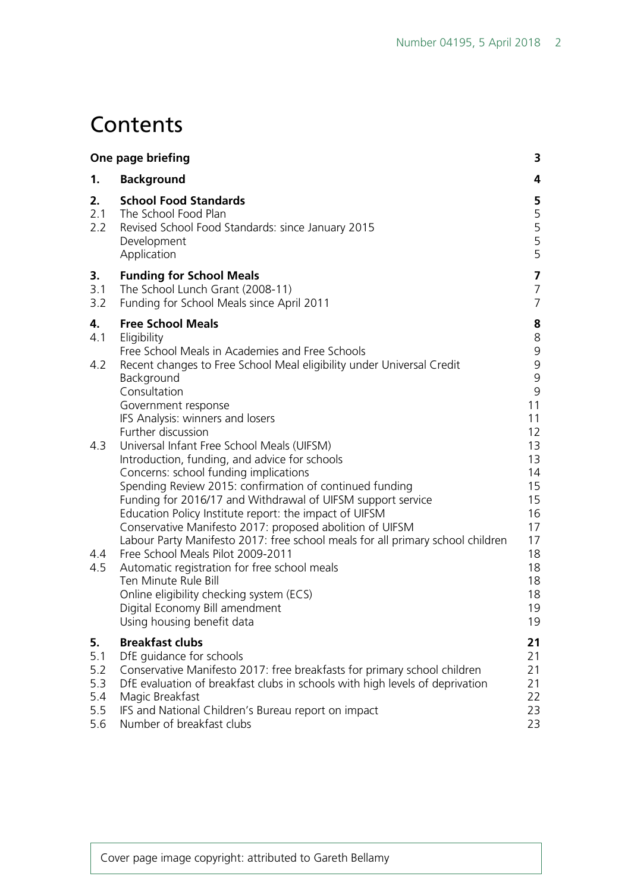## **Contents**

| One page briefing                            |                                                                                                                                                                                                                                                                                                                                                                                                                                                                                                                                                                                                                                                                                                                                                                    | 3                                                                                                           |
|----------------------------------------------|--------------------------------------------------------------------------------------------------------------------------------------------------------------------------------------------------------------------------------------------------------------------------------------------------------------------------------------------------------------------------------------------------------------------------------------------------------------------------------------------------------------------------------------------------------------------------------------------------------------------------------------------------------------------------------------------------------------------------------------------------------------------|-------------------------------------------------------------------------------------------------------------|
| 1.                                           | <b>Background</b>                                                                                                                                                                                                                                                                                                                                                                                                                                                                                                                                                                                                                                                                                                                                                  | 4                                                                                                           |
| 2.<br>2.1<br>2.2                             | <b>School Food Standards</b><br>The School Food Plan<br>Revised School Food Standards: since January 2015<br>Development<br>Application                                                                                                                                                                                                                                                                                                                                                                                                                                                                                                                                                                                                                            | 5<br>5<br>5<br>5<br>5                                                                                       |
| 3.<br>3.1<br>3.2                             | <b>Funding for School Meals</b><br>The School Lunch Grant (2008-11)<br>Funding for School Meals since April 2011                                                                                                                                                                                                                                                                                                                                                                                                                                                                                                                                                                                                                                                   | 7<br>$\overline{7}$<br>$\overline{7}$                                                                       |
| 4.<br>4.1<br>4.2                             | <b>Free School Meals</b><br>Eligibility<br>Free School Meals in Academies and Free Schools<br>Recent changes to Free School Meal eligibility under Universal Credit<br>Background                                                                                                                                                                                                                                                                                                                                                                                                                                                                                                                                                                                  | 8<br>$\,8\,$<br>$\mathsf 9$<br>9<br>9                                                                       |
| 4.3<br>4.4<br>4.5                            | Consultation<br>Government response<br>IFS Analysis: winners and losers<br>Further discussion<br>Universal Infant Free School Meals (UIFSM)<br>Introduction, funding, and advice for schools<br>Concerns: school funding implications<br>Spending Review 2015: confirmation of continued funding<br>Funding for 2016/17 and Withdrawal of UIFSM support service<br>Education Policy Institute report: the impact of UIFSM<br>Conservative Manifesto 2017: proposed abolition of UIFSM<br>Labour Party Manifesto 2017: free school meals for all primary school children<br>Free School Meals Pilot 2009-2011<br>Automatic registration for free school meals<br>Ten Minute Rule Bill<br>Online eligibility checking system (ECS)<br>Digital Economy Bill amendment | $\mathsf 9$<br>11<br>11<br>12<br>13<br>13<br>14<br>15<br>15<br>16<br>17<br>17<br>18<br>18<br>18<br>18<br>19 |
| 5.<br>5.1<br>5.2<br>5.3<br>5.4<br>5.5<br>5.6 | Using housing benefit data<br><b>Breakfast clubs</b><br>DfE guidance for schools<br>Conservative Manifesto 2017: free breakfasts for primary school children<br>DfE evaluation of breakfast clubs in schools with high levels of deprivation<br>Magic Breakfast<br>IFS and National Children's Bureau report on impact<br>Number of breakfast clubs                                                                                                                                                                                                                                                                                                                                                                                                                | 19<br>21<br>21<br>21<br>21<br>22<br>23<br>23                                                                |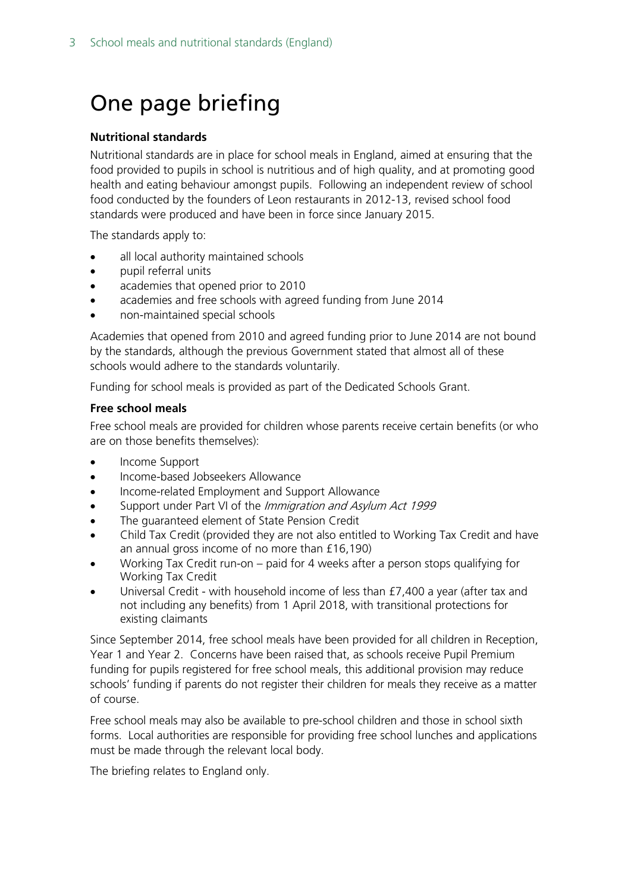## <span id="page-2-0"></span>One page briefing

#### **Nutritional standards**

Nutritional standards are in place for school meals in England, aimed at ensuring that the food provided to pupils in school is nutritious and of high quality, and at promoting good health and eating behaviour amongst pupils. Following an independent review of school food conducted by the founders of Leon restaurants in 2012-13, revised school food standards were produced and have been in force since January 2015.

The standards apply to:

- all local authority maintained schools
- pupil referral units
- academies that opened prior to 2010
- academies and free schools with agreed funding from June 2014
- non-maintained special schools

Academies that opened from 2010 and agreed funding prior to June 2014 are not bound by the standards, although the previous Government stated that almost all of these schools would adhere to the standards voluntarily.

Funding for school meals is provided as part of the Dedicated Schools Grant.

#### **Free school meals**

Free school meals are provided for children whose parents receive certain benefits (or who are on those benefits themselves):

- Income Support
- Income-based Jobseekers Allowance
- Income-related Employment and Support Allowance
- Support under Part VI of the Immigration and Asylum Act 1999
- The quaranteed element of State Pension Credit
- Child Tax Credit (provided they are not also entitled to Working Tax Credit and have an annual gross income of no more than £16,190)
- Working Tax Credit run-on paid for 4 weeks after a person stops qualifying for Working Tax Credit
- Universal Credit with household income of less than £7,400 a year (after tax and not including any benefits) from 1 April 2018, with transitional protections for existing claimants

Since September 2014, free school meals have been provided for all children in Reception, Year 1 and Year 2. Concerns have been raised that, as schools receive Pupil Premium funding for pupils registered for free school meals, this additional provision may reduce schools' funding if parents do not register their children for meals they receive as a matter of course.

Free school meals may also be available to pre-school children and those in school sixth forms. Local authorities are responsible for providing free school lunches and applications must be made through the relevant local body.

The briefing relates to England only.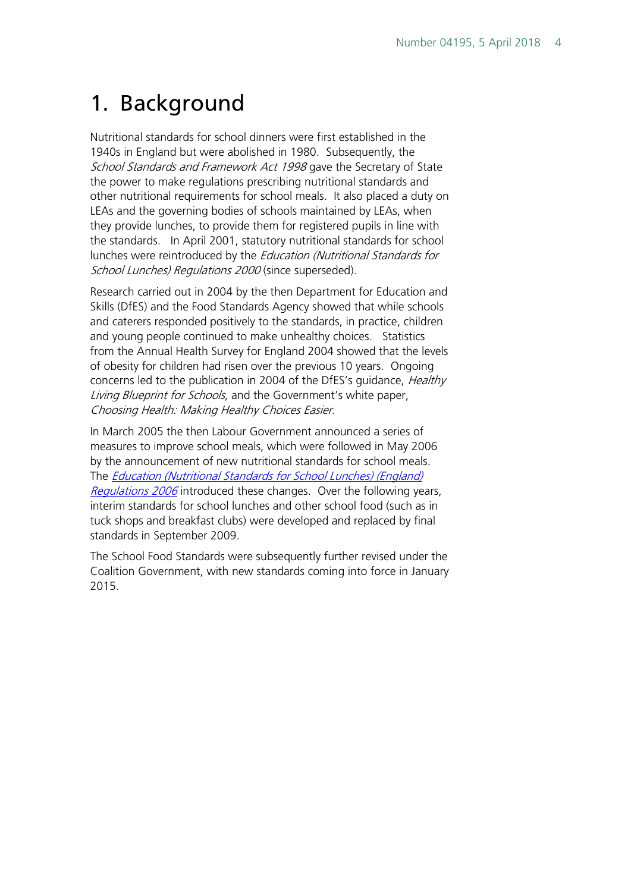## <span id="page-3-0"></span>1. Background

Nutritional standards for school dinners were first established in the 1940s in England but were abolished in 1980. Subsequently, the School Standards and Framework Act 1998 gave the Secretary of State the power to make regulations prescribing nutritional standards and other nutritional requirements for school meals. It also placed a duty on LEAs and the governing bodies of schools maintained by LEAs, when they provide lunches, to provide them for registered pupils in line with the standards. In April 2001, statutory nutritional standards for school lunches were reintroduced by the *Education (Nutritional Standards for* School Lunches) Regulations 2000 (since superseded).

Research carried out in 2004 by the then Department for Education and Skills (DfES) and the Food Standards Agency showed that while schools and caterers responded positively to the standards, in practice, children and young people continued to make unhealthy choices. Statistics from the Annual Health Survey for England 2004 showed that the levels of obesity for children had risen over the previous 10 years. Ongoing concerns led to the publication in 2004 of the DfES's guidance, *Healthy* Living Blueprint for Schools, and the Government's white paper, Choosing Health: Making Healthy Choices Easier.

In March 2005 the then Labour Government announced a series of measures to improve school meals, which were followed in May 2006 by the announcement of new nutritional standards for school meals. The [Education \(Nutritional Standards for School Lunches\) \(England\)](http://www.legislation.gov.uk/uksi/2006/2381/contents/made)  [Regulations 2006](http://www.legislation.gov.uk/uksi/2006/2381/contents/made) introduced these changes. Over the following years, interim standards for school lunches and other school food (such as in tuck shops and breakfast clubs) were developed and replaced by final standards in September 2009.

The School Food Standards were subsequently further revised under the Coalition Government, with new standards coming into force in January 2015.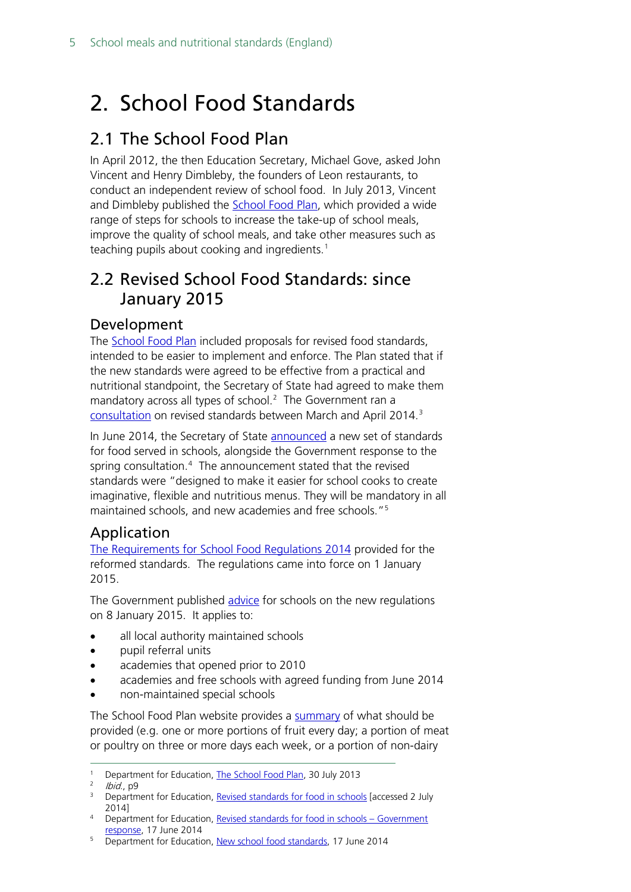## <span id="page-4-0"></span>2. School Food Standards

## <span id="page-4-1"></span>2.1 The School Food Plan

In April 2012, the then Education Secretary, Michael Gove, asked John Vincent and Henry Dimbleby, the founders of Leon restaurants, to conduct an independent review of school food. In July 2013, Vincent and Dimbleby published the [School Food Plan,](https://www.gov.uk/government/publications/the-school-food-plan) which provided a wide range of steps for schools to increase the take-up of school meals, improve the quality of school meals, and take other measures such as teaching pupils about cooking and ingredients.<sup>[1](#page-4-5)</sup>

### <span id="page-4-2"></span>2.2 Revised School Food Standards: since January 2015

#### <span id="page-4-3"></span>Development

The **School Food Plan** included proposals for revised food standards, intended to be easier to implement and enforce. The Plan stated that if the new standards were agreed to be effective from a practical and nutritional standpoint, the Secretary of State had agreed to make them mandatory across all types of school. [2](#page-4-6) The Government ran a [consultation](https://www.gov.uk/government/consultations/revised-standards-for-food-in-schools--2) on revised standards between March and April 2014.[3](#page-4-7)

In June 2014, the Secretary of State **announced** a new set of standards for food served in schools, alongside the Government response to the spring consultation.<sup>[4](#page-4-8)</sup> The announcement stated that the revised standards were "designed to make it easier for school cooks to create imaginative, flexible and nutritious menus. They will be mandatory in all maintained schools, and new academies and free schools."[5](#page-4-9)

#### <span id="page-4-4"></span>Application

[The Requirements for School Food Regulations 2014](http://www.legislation.gov.uk/uksi/2014/1603/contents/made) provided for the reformed standards. The regulations came into force on 1 January 2015.

The Government published [advice](https://www.gov.uk/government/uploads/system/uploads/attachment_data/file/393122/School_food_in_England_2015.pdf) for schools on the new regulations on 8 January 2015. It applies to:

- all local authority maintained schools
- pupil referral units
- academies that opened prior to 2010
- academies and free schools with agreed funding from June 2014
- non-maintained special schools

The School Food Plan website provides a [summary](http://www.schoolfoodplan.com/wp-content/uploads/2014/09/School_Food_Standards_140911-V2c-tea-towel.pdf) of what should be provided (e.g. one or more portions of fruit every day; a portion of meat or poultry on three or more days each week, or a portion of non-dairy

<span id="page-4-5"></span><sup>&</sup>lt;sup>1</sup> Department for Education, [The School Food Plan,](https://www.gov.uk/government/publications/the-school-food-plan) 30 July 2013

lbid., p9

<span id="page-4-7"></span><span id="page-4-6"></span><sup>&</sup>lt;sup>3</sup> Department for Education, [Revised standards for food in schools](https://www.gov.uk/government/consultations/revised-standards-for-food-in-schools--2) [accessed 2 July 2014]

<span id="page-4-8"></span><sup>4</sup> Department for Education, [Revised standards for food in schools –](https://www.gov.uk/government/uploads/system/uploads/attachment_data/file/320697/Government_Response_-_Revised_Standards_for_School_Food_Consultation_FINAL.pdf) Government [response,](https://www.gov.uk/government/uploads/system/uploads/attachment_data/file/320697/Government_Response_-_Revised_Standards_for_School_Food_Consultation_FINAL.pdf) 17 June 2014

<span id="page-4-9"></span><sup>&</sup>lt;sup>5</sup> Department for Education, [New school food standards,](https://www.gov.uk/government/news/new-school-food-standards) 17 June 2014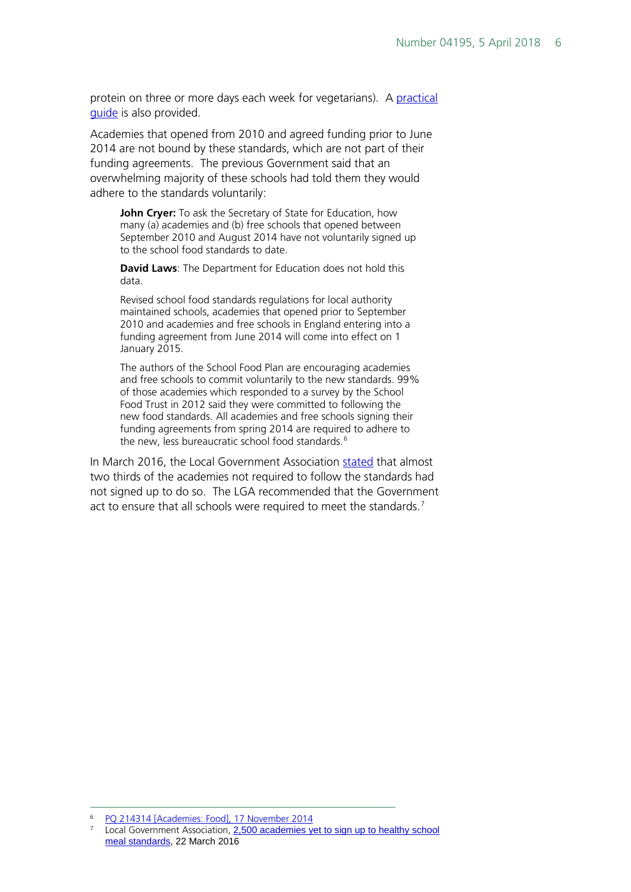protein on three or more days each week for vegetarians). A practical [guide](http://www.schoolfoodplan.com/wp-content/uploads/2014/09/School-Food-Standards-Guidance-FINAL-140911-V2C.pdf) is also provided.

Academies that opened from 2010 and agreed funding prior to June 2014 are not bound by these standards, which are not part of their funding agreements. The previous Government said that an overwhelming majority of these schools had told them they would adhere to the standards voluntarily:

**John Cryer:** To ask the Secretary of State for Education, how many (a) academies and (b) free schools that opened between September 2010 and August 2014 have not voluntarily signed up to the school food standards to date.

**David Laws**: The Department for Education does not hold this data.

Revised school food standards regulations for local authority maintained schools, academies that opened prior to September 2010 and academies and free schools in England entering into a funding agreement from June 2014 will come into effect on 1 January 2015.

The authors of the School Food Plan are encouraging academies and free schools to commit voluntarily to the new standards. 99% of those academies which responded to a survey by the School Food Trust in 2012 said they were committed to following the new food standards. All academies and free schools signing their funding agreements from spring 2014 are required to adhere to the new, less bureaucratic school food standards.<sup>[6](#page-5-0)</sup>

In March 2016, the Local Government Association [stated](http://www.local.gov.uk/media-releases/-/journal_content/56/10180/7754783/NEWS) that almost two thirds of the academies not required to follow the standards had not signed up to do so. The LGA recommended that the Government act to ensure that all schools were required to meet the standards.<sup>[7](#page-5-1)</sup>

<span id="page-5-0"></span> <sup>6</sup> [PQ 214314 \[Academies: Food\], 17 November 2014](http://www.parliament.uk/written-questions-answers-statements/written-question/commons/2014-11-11/214314)

<span id="page-5-1"></span>Local Government Association, 2,500 academies yet to sign up to healthy school [meal standards,](http://www.local.gov.uk/media-releases/-/journal_content/56/10180/7754783/NEWS) 22 March 2016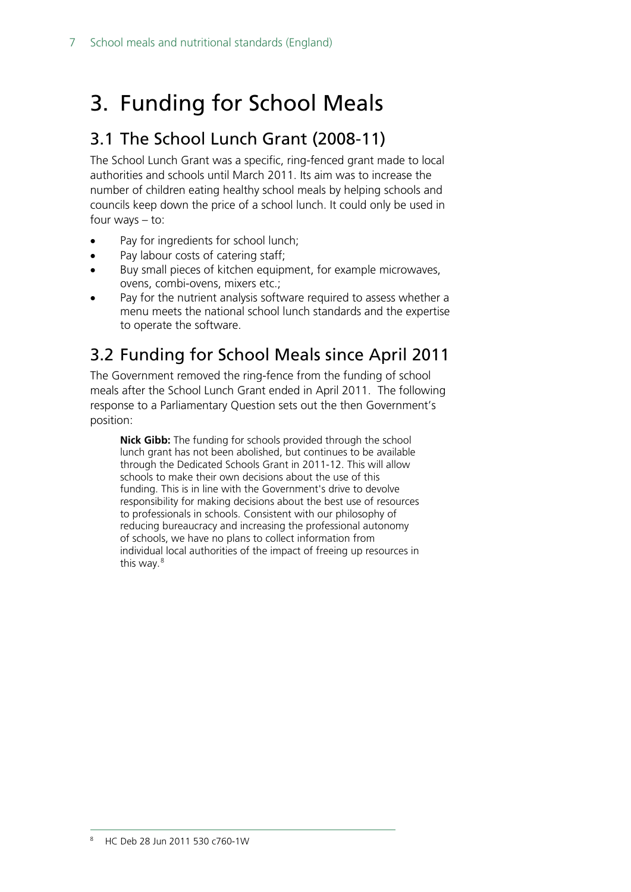## <span id="page-6-0"></span>3. Funding for School Meals

### <span id="page-6-1"></span>3.1 The School Lunch Grant (2008-11)

The School Lunch Grant was a specific, ring-fenced grant made to local authorities and schools until March 2011. Its aim was to increase the number of children eating healthy school meals by helping schools and councils keep down the price of a school lunch. It could only be used in four ways – to:

- Pay for ingredients for school lunch;
- Pay labour costs of catering staff;
- Buy small pieces of kitchen equipment, for example microwaves, ovens, combi-ovens, mixers etc.;
- Pay for the nutrient analysis software required to assess whether a menu meets the national school lunch standards and the expertise to operate the software.

## <span id="page-6-2"></span>3.2 Funding for School Meals since April 2011

The Government removed the ring-fence from the funding of school meals after the School Lunch Grant ended in April 2011. The following response to a Parliamentary Question sets out the then Government's position:

<span id="page-6-3"></span>**Nick Gibb:** The funding for schools provided through the school lunch grant has not been abolished, but continues to be available through the Dedicated Schools Grant in 2011-12. This will allow schools to make their own decisions about the use of this funding. This is in line with the Government's drive to devolve responsibility for making decisions about the best use of resources to professionals in schools. Consistent with our philosophy of reducing bureaucracy and increasing the professional autonomy of schools, we have no plans to collect information from individual local authorities of the impact of freeing up resources in this way.<sup>[8](#page-6-3)</sup>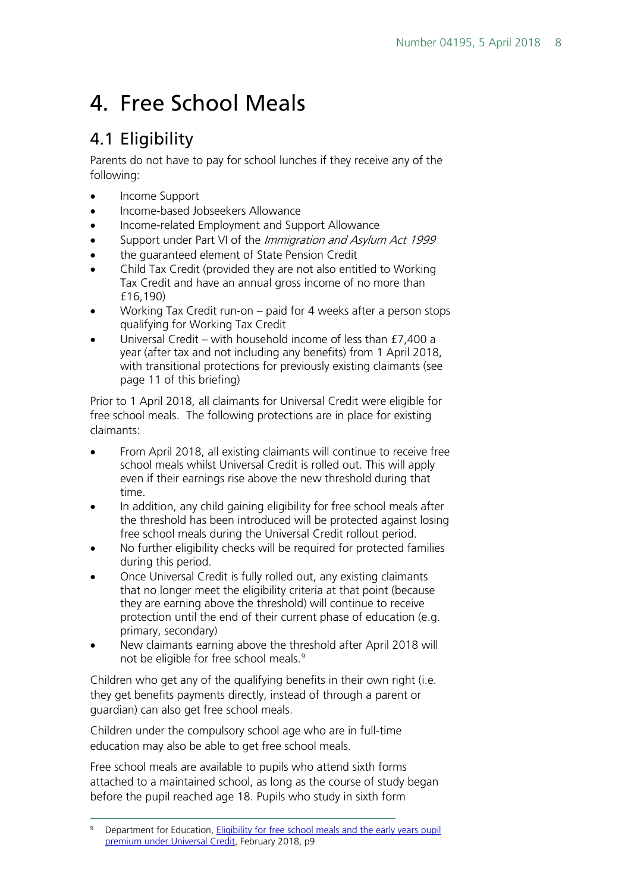## <span id="page-7-0"></span>4. Free School Meals

## <span id="page-7-1"></span>4.1 Eligibility

Parents do not have to pay for school lunches if they receive any of the following:

- Income Support
- Income-based Jobseekers Allowance
- Income-related Employment and Support Allowance
- Support under Part VI of the *Immigration and Asylum Act 1999*
- the quaranteed element of State Pension Credit
- Child Tax Credit (provided they are not also entitled to Working Tax Credit and have an annual gross income of no more than £16,190)
- Working Tax Credit run-on paid for 4 weeks after a person stops qualifying for Working Tax Credit
- Universal Credit with household income of less than £7,400 a year (after tax and not including any benefits) from 1 April 2018, with transitional protections for previously existing claimants (see page 11 of this briefing)

Prior to 1 April 2018, all claimants for Universal Credit were eligible for free school meals. The following protections are in place for existing claimants:

- From April 2018, all existing claimants will continue to receive free school meals whilst Universal Credit is rolled out. This will apply even if their earnings rise above the new threshold during that time.
- In addition, any child gaining eligibility for free school meals after the threshold has been introduced will be protected against losing free school meals during the Universal Credit rollout period.
- No further eligibility checks will be required for protected families during this period.
- Once Universal Credit is fully rolled out, any existing claimants that no longer meet the eligibility criteria at that point (because they are earning above the threshold) will continue to receive protection until the end of their current phase of education (e.g. primary, secondary)
- New claimants earning above the threshold after April 2018 will not be eligible for free school meals.<sup>[9](#page-7-2)</sup>

Children who get any of the qualifying benefits in their own right (i.e. they get benefits payments directly, instead of through a parent or guardian) can also get free school meals.

Children under the compulsory school age who are in full-time education may also be able to get free school meals.

Free school meals are available to pupils who attend sixth forms attached to a maintained school, as long as the course of study began before the pupil reached age 18. Pupils who study in sixth form

<span id="page-7-2"></span>Department for Education, Eligibility for free school meals and the early years pupil [premium under Universal Credit,](https://www.gov.uk/government/consultations/eligibility-for-free-school-meals-and-the-early-years-pupil-premium-under-universal-credit) February 2018, p9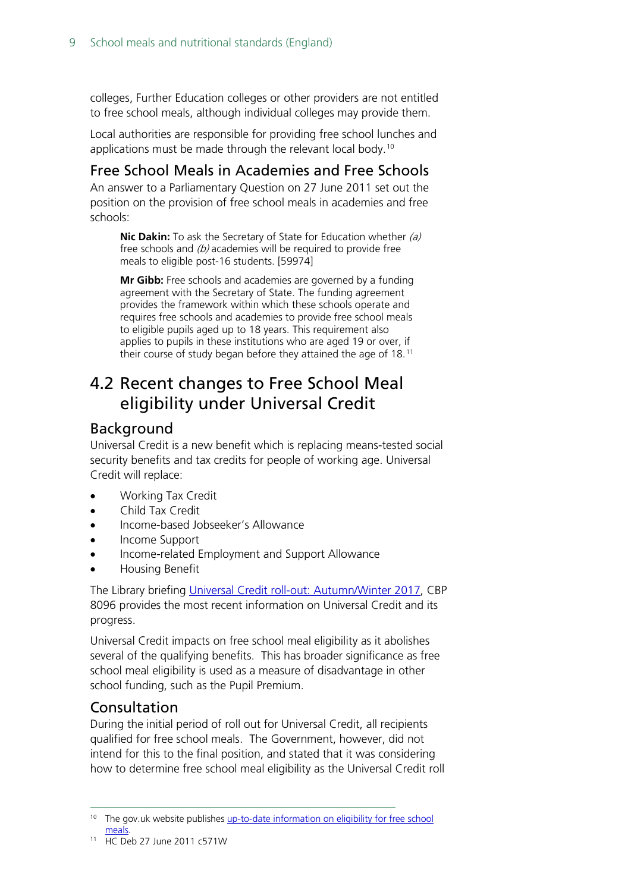colleges, Further Education colleges or other providers are not entitled to free school meals, although individual colleges may provide them.

Local authorities are responsible for providing free school lunches and applications must be made through the relevant local body.<sup>[10](#page-8-4)</sup>

#### <span id="page-8-0"></span>Free School Meals in Academies and Free Schools

An answer to a Parliamentary Question on 27 June 2011 set out the position on the provision of free school meals in academies and free schools:

**Nic Dakin:** To ask the Secretary of State for Education whether (a) free schools and  $(b)$  academies will be required to provide free meals to eligible post-16 students. [59974]

**Mr Gibb:** Free schools and academies are governed by a funding agreement with the Secretary of State. The funding agreement provides the framework within which these schools operate and requires free schools and academies to provide free school meals to eligible pupils aged up to 18 years. This requirement also applies to pupils in these institutions who are aged 19 or over, if their course of study began before they attained the age of 18.<sup>[11](#page-8-5)</sup>

### <span id="page-8-1"></span>4.2 Recent changes to Free School Meal eligibility under Universal Credit

#### <span id="page-8-2"></span>Background

Universal Credit is a new benefit which is replacing means-tested social security benefits and tax credits for people of working age. Universal Credit will replace:

- Working Tax Credit
- Child Tax Credit
- Income-based Jobseeker's Allowance
- Income Support
- Income-related Employment and Support Allowance
- Housing Benefit

The Library briefing [Universal Credit roll-out: Autumn/Winter 2017,](http://researchbriefings.parliament.uk/ResearchBriefing/Summary/CBP-8096) CBP 8096 provides the most recent information on Universal Credit and its progress.

Universal Credit impacts on free school meal eligibility as it abolishes several of the qualifying benefits. This has broader significance as free school meal eligibility is used as a measure of disadvantage in other school funding, such as the Pupil Premium.

#### <span id="page-8-3"></span>Consultation

During the initial period of roll out for Universal Credit, all recipients qualified for free school meals. The Government, however, did not intend for this to the final position, and stated that it was considering how to determine free school meal eligibility as the Universal Credit roll

<span id="page-8-4"></span><sup>&</sup>lt;sup>10</sup> The gov.uk website publishes up-to-date information on eligibility for free school [meals.](https://www.gov.uk/apply-free-school-meals)

<span id="page-8-5"></span><sup>11</sup> HC Deb 27 June 2011 c571W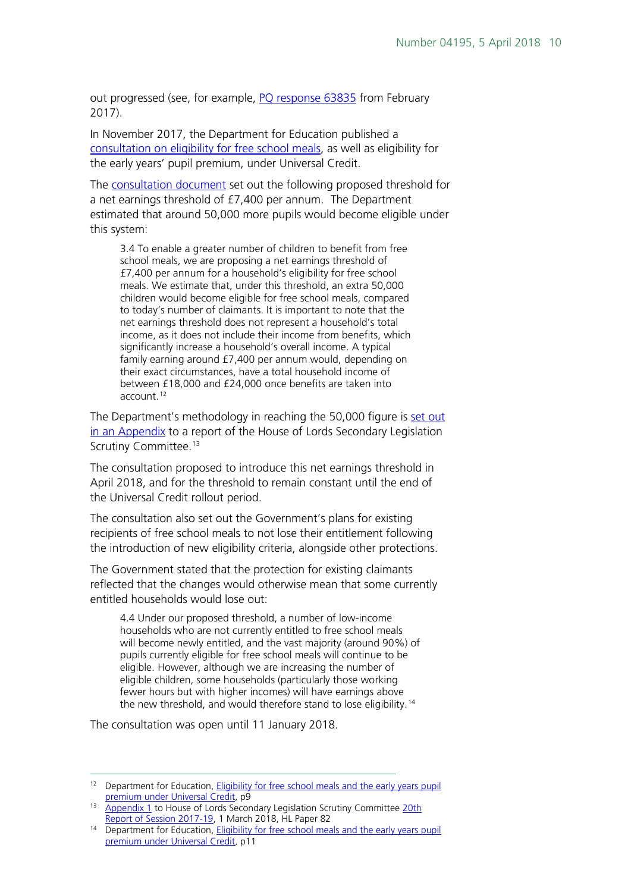out progressed (see, for example, [PQ response 63835](https://www.parliament.uk/written-questions-answers-statements/written-question/commons/2017-02-09/63835) from February 2017).

In November 2017, the Department for Education published a [consultation on eligibility for free school meals,](https://www.gov.uk/government/consultations/eligibility-for-free-school-meals-and-the-early-years-pupil-premium-under-universal-credit) as well as eligibility for the early years' pupil premium, under Universal Credit.

The [consultation document](https://consult.education.gov.uk/healthy-pupil-unit/fsm/supporting_documents/Consultation%20%20Free%20school%20meals%20and%20EYPP%20under%20Universal%20Credit.pdf) set out the following proposed threshold for a net earnings threshold of £7,400 per annum. The Department estimated that around 50,000 more pupils would become eligible under this system:

3.4 To enable a greater number of children to benefit from free school meals, we are proposing a net earnings threshold of £7,400 per annum for a household's eligibility for free school meals. We estimate that, under this threshold, an extra 50,000 children would become eligible for free school meals, compared to today's number of claimants. It is important to note that the net earnings threshold does not represent a household's total income, as it does not include their income from benefits, which significantly increase a household's overall income. A typical family earning around £7,400 per annum would, depending on their exact circumstances, have a total household income of between £18,000 and £24,000 once benefits are taken into account.[12](#page-9-0)

The Department's methodology in reaching the 50,000 figure is set out [in an Appendix](https://publications.parliament.uk/pa/ld201719/ldselect/ldsecleg/82/8206.htm) to a report of the House of Lords Secondary Legislation Scrutiny Committee.<sup>[13](#page-9-1)</sup>

The consultation proposed to introduce this net earnings threshold in April 2018, and for the threshold to remain constant until the end of the Universal Credit rollout period.

The consultation also set out the Government's plans for existing recipients of free school meals to not lose their entitlement following the introduction of new eligibility criteria, alongside other protections.

The Government stated that the protection for existing claimants reflected that the changes would otherwise mean that some currently entitled households would lose out:

4.4 Under our proposed threshold, a number of low-income households who are not currently entitled to free school meals will become newly entitled, and the vast majority (around 90%) of pupils currently eligible for free school meals will continue to be eligible. However, although we are increasing the number of eligible children, some households (particularly those working fewer hours but with higher incomes) will have earnings above the new threshold, and would therefore stand to lose eligibility.<sup>[14](#page-9-2)</sup>

The consultation was open until 11 January 2018.

<span id="page-9-0"></span><sup>&</sup>lt;sup>12</sup> Department for Education, **Eligibility for free school meals and the early years pupil** [premium under Universal Credit,](https://consult.education.gov.uk/healthy-pupil-unit/fsm/supporting_documents/Consultation%20%20Free%20school%20meals%20and%20EYPP%20under%20Universal%20Credit.pdf) p9

<span id="page-9-1"></span><sup>13</sup> [Appendix 1](https://publications.parliament.uk/pa/ld201719/ldselect/ldsecleg/82/8206.htm) to House of Lords Secondary Legislation Scrutiny Committee 20th [Report of Session 2017-19,](https://publications.parliament.uk/pa/ld201719/ldselect/ldsecleg/82/8202.htm) 1 March 2018, HL Paper 82

<span id="page-9-2"></span><sup>&</sup>lt;sup>14</sup> Department for Education, Eligibility for free school meals and the early years pupil [premium under Universal Credit,](https://consult.education.gov.uk/healthy-pupil-unit/fsm/supporting_documents/Consultation%20%20Free%20school%20meals%20and%20EYPP%20under%20Universal%20Credit.pdf) p11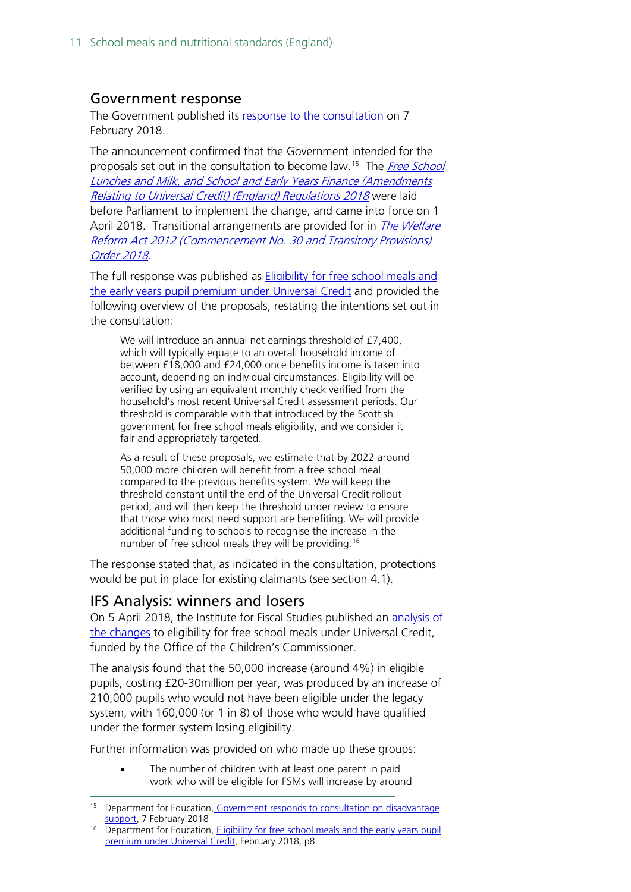#### <span id="page-10-0"></span>Government response

The Government published its [response to the consultation](https://www.gov.uk/government/consultations/eligibility-for-free-school-meals-and-the-early-years-pupil-premium-under-universal-credit) on 7 February 2018.

The announcement confirmed that the Government intended for the proposals set out in the consultation to become law.<sup>[15](#page-10-2)</sup> The *Free School* [Lunches and Milk, and School and Early Years Finance \(Amendments](https://www.legislation.gov.uk/uksi/2018/148/introduction/made)  [Relating to Universal Credit\) \(England\) Regulations 2018](https://www.legislation.gov.uk/uksi/2018/148/introduction/made) were laid before Parliament to implement the change, and came into force on 1 April 2018. Transitional arrangements are provided for in *The Welfare* [Reform Act 2012 \(Commencement No. 30 and Transitory Provisions\)](http://www.legislation.gov.uk/uksi/2018/145/contents/made)  [Order 2018.](http://www.legislation.gov.uk/uksi/2018/145/contents/made)

The full response was published as [Eligibility for free school meals and](https://www.gov.uk/government/consultations/eligibility-for-free-school-meals-and-the-early-years-pupil-premium-under-universal-credit)  [the early years pupil premium under Universal Credit](https://www.gov.uk/government/consultations/eligibility-for-free-school-meals-and-the-early-years-pupil-premium-under-universal-credit) and provided the following overview of the proposals, restating the intentions set out in the consultation:

We will introduce an annual net earnings threshold of £7,400, which will typically equate to an overall household income of between £18,000 and £24,000 once benefits income is taken into account, depending on individual circumstances. Eligibility will be verified by using an equivalent monthly check verified from the household's most recent Universal Credit assessment periods. Our threshold is comparable with that introduced by the Scottish government for free school meals eligibility, and we consider it fair and appropriately targeted.

As a result of these proposals, we estimate that by 2022 around 50,000 more children will benefit from a free school meal compared to the previous benefits system. We will keep the threshold constant until the end of the Universal Credit rollout period, and will then keep the threshold under review to ensure that those who most need support are benefiting. We will provide additional funding to schools to recognise the increase in the number of free school meals they will be providing.<sup>[16](#page-10-3)</sup>

The response stated that, as indicated in the consultation, protections would be put in place for existing claimants (see section 4.1).

#### <span id="page-10-1"></span>IFS Analysis: winners and losers

On 5 April 2018, the Institute for Fiscal Studies published an [analysis of](https://www.ifs.org.uk/publications/12892)  [the changes](https://www.ifs.org.uk/publications/12892) to eligibility for free school meals under Universal Credit, funded by the Office of the Children's Commissioner.

The analysis found that the 50,000 increase (around 4%) in eligible pupils, costing £20-30million per year, was produced by an increase of 210,000 pupils who would not have been eligible under the legacy system, with 160,000 (or 1 in 8) of those who would have qualified under the former system losing eligibility.

Further information was provided on who made up these groups:

• The number of children with at least one parent in paid work who will be eligible for FSMs will increase by around

<span id="page-10-2"></span><sup>&</sup>lt;sup>15</sup> Department for Education, Government responds to consultation on disadvantage [support,](https://www.gov.uk/government/news/government-responds-to-consultation-on-disadvantage-support) 7 February 2018

<span id="page-10-3"></span><sup>&</sup>lt;sup>16</sup> Department for Education, Eligibility for free school meals and the early years pupil [premium under Universal Credit,](https://www.gov.uk/government/consultations/eligibility-for-free-school-meals-and-the-early-years-pupil-premium-under-universal-credit) February 2018, p8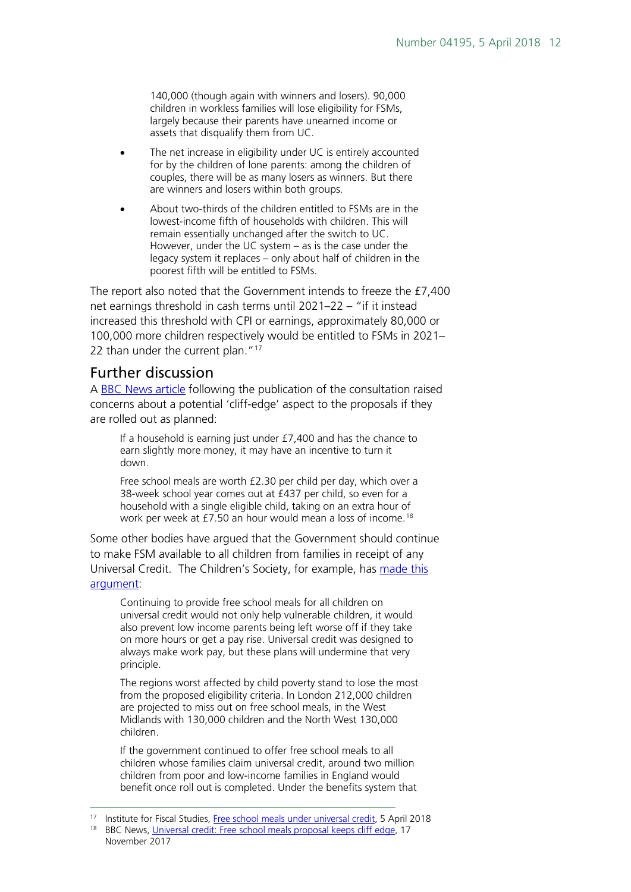140,000 (though again with winners and losers). 90,000 children in workless families will lose eligibility for FSMs, largely because their parents have unearned income or assets that disqualify them from UC.

- The net increase in eligibility under UC is entirely accounted for by the children of lone parents: among the children of couples, there will be as many losers as winners. But there are winners and losers within both groups.
- About two-thirds of the children entitled to FSMs are in the lowest-income fifth of households with children. This will remain essentially unchanged after the switch to UC. However, under the UC system – as is the case under the legacy system it replaces – only about half of children in the poorest fifth will be entitled to FSMs.

The report also noted that the Government intends to freeze the £7,400 net earnings threshold in cash terms until 2021–22 – "if it instead increased this threshold with CPI or earnings, approximately 80,000 or 100,000 more children respectively would be entitled to FSMs in 2021– 22 than under the current plan."<sup>[17](#page-11-1)</sup>

#### <span id="page-11-0"></span>Further discussion

A [BBC News article](http://www.bbc.co.uk/news/education-41983610) following the publication of the consultation raised concerns about a potential 'cliff-edge' aspect to the proposals if they are rolled out as planned:

If a household is earning just under £7,400 and has the chance to earn slightly more money, it may have an incentive to turn it down.

Free school meals are worth £2.30 per child per day, which over a 38-week school year comes out at £437 per child, so even for a household with a single eligible child, taking on an extra hour of work per week at £7.50 an hour would mean a loss of income.<sup>[18](#page-11-2)</sup>

Some other bodies have argued that the Government should continue to make FSM available to all children from families in receipt of any Universal Credit. The Children's Society, for example, has made this [argument:](https://www.childrenssociety.org.uk/news-and-blogs/press-releases/universal-credit-one-million-children-in-poverty-to-miss-out-on-free)

Continuing to provide free school meals for all children on universal credit would not only help vulnerable children, it would also prevent low income parents being left worse off if they take on more hours or get a pay rise. Universal credit was designed to always make work pay, but these plans will undermine that very principle.

The regions worst affected by child poverty stand to lose the most from the proposed eligibility criteria. In London 212,000 children are projected to miss out on free school meals, in the West Midlands with 130,000 children and the North West 130,000 children.

If the government continued to offer free school meals to all children whose families claim universal credit, around two million children from poor and low-income families in England would benefit once roll out is completed. Under the benefits system that

<span id="page-11-1"></span> <sup>17</sup> Institute for Fiscal Studies, [Free school meals under universal credit,](https://www.ifs.org.uk/publications/12892) 5 April 2018

<span id="page-11-2"></span><sup>&</sup>lt;sup>18</sup> BBC News, [Universal credit: Free school meals proposal keeps cliff edge,](http://www.bbc.co.uk/news/education-41983610) 17 November 2017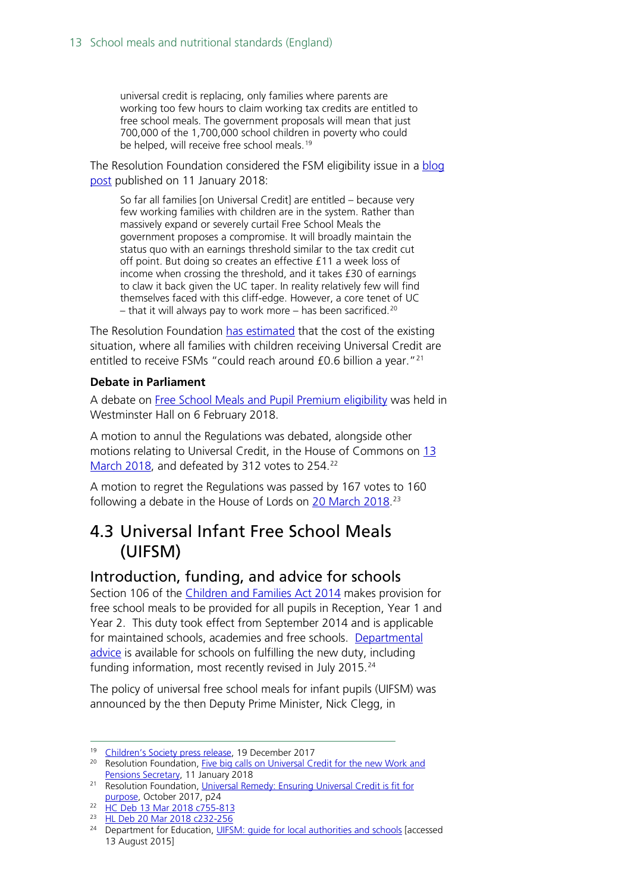universal credit is replacing, only families where parents are working too few hours to claim working tax credits are entitled to free school meals. The government proposals will mean that just 700,000 of the 1,700,000 school children in poverty who could be helped, will receive free school meals.<sup>[19](#page-12-2)</sup>

The Resolution Foundation considered the FSM eligibility issue in a blog [post](http://www.resolutionfoundation.org/media/blog/five-big-calls-on-universal-credit-for-the-new-work-and-pensions-secretary/) published on 11 January 2018:

So far all families [on Universal Credit] are entitled – because very few working families with children are in the system. Rather than massively expand or severely curtail Free School Meals the government proposes a compromise. It will broadly maintain the status quo with an earnings threshold similar to the tax credit cut off point. But doing so creates an effective £11 a week loss of income when crossing the threshold, and it takes £30 of earnings to claw it back given the UC taper. In reality relatively few will find themselves faced with this cliff-edge. However, a core tenet of UC – that it will always pay to work more – has been sacrificed.<sup>[20](#page-12-3)</sup>

The Resolution Foundation [has estimated](http://www.resolutionfoundation.org/app/uploads/2017/10/Universal-Credit.pdf) that the cost of the existing situation, where all families with children receiving Universal Credit are entitled to receive FSMs "could reach around £0.6 billion a year."<sup>[21](#page-12-4)</sup>

#### **Debate in Parliament**

A debate on [Free School Meals and Pupil Premium eligibility](https://hansard.parliament.uk/commons/2018-02-06/debates/18020642000003/FreeSchoolMealsPupilPremiumEligibility) was held in Westminster Hall on 6 February 2018.

A motion to annul the Regulations was debated, alongside other motions relating to Universal Credit, in the House of Commons on [13](https://hansard.parliament.uk/Commons/2018-03-13/debates/D6DA0988-0BFF-4CF3-9F2B-C1310F4859DD/UniversalCredit)  [March 2018,](https://hansard.parliament.uk/Commons/2018-03-13/debates/D6DA0988-0BFF-4CF3-9F2B-C1310F4859DD/UniversalCredit) and defeated by 312 votes to 254.<sup>[22](#page-12-5)</sup>

A motion to regret the Regulations was passed by 167 votes to 160 following a debate in the House of Lords on [20 March 2018.](https://hansard.parliament.uk/lords/2018-03-20/debates/91D6E2D5-C16B-4CC7-A6B6-B09028FB42B6/FreeSchoolLunchesAndMilkAndSchoolAndEarlyYearsFinance(AmendmentsRelatingToUniversalCredit)(England)Regulations2018)<sup>[23](#page-12-6)</sup>

### <span id="page-12-0"></span>4.3 Universal Infant Free School Meals (UIFSM)

#### <span id="page-12-1"></span>Introduction, funding, and advice for schools

Section 106 of the [Children and Families Act 2014](http://www.legislation.gov.uk/ukpga/2014/6/section/106/enacted) makes provision for free school meals to be provided for all pupils in Reception, Year 1 and Year 2. This duty took effect from September 2014 and is applicable for maintained schools, academies and free schools. Departmental [advice](https://www.gov.uk/universal-infant-free-school-meals-guide-for-schools-and-local-authorities) is available for schools on fulfilling the new duty, including funding information, most recently revised in July 2015. [24](#page-12-7)

The policy of universal free school meals for infant pupils (UIFSM) was announced by the then Deputy Prime Minister, Nick Clegg, in

<sup>&</sup>lt;sup>19</sup> [Children's Society press release,](https://www.childrenssociety.org.uk/news-and-blogs/press-releases/universal-credit-one-million-children-in-poverty-to-miss-out-on-free) 19 December 2017

<span id="page-12-3"></span><span id="page-12-2"></span><sup>&</sup>lt;sup>20</sup> Resolution Foundation, Five big calls on Universal Credit for the new Work and [Pensions Secretary,](http://www.resolutionfoundation.org/media/blog/five-big-calls-on-universal-credit-for-the-new-work-and-pensions-secretary/) 11 January 2018

<span id="page-12-4"></span><sup>&</sup>lt;sup>21</sup> Resolution Foundation, Universal Remedy: Ensuring Universal Credit is fit for [purpose,](http://www.resolutionfoundation.org/app/uploads/2017/10/Universal-Credit.pdf) October 2017, p24

<span id="page-12-5"></span><sup>22</sup> [HC Deb 13 Mar 2018 c755-813](https://hansard.parliament.uk/Commons/2018-03-13/debates/D6DA0988-0BFF-4CF3-9F2B-C1310F4859DD/UniversalCredit)

<span id="page-12-6"></span><sup>23</sup> [HL Deb 20 Mar 2018 c232-256](https://hansard.parliament.uk/lords/2018-03-20/debates/91D6E2D5-C16B-4CC7-A6B6-B09028FB42B6/FreeSchoolLunchesAndMilkAndSchoolAndEarlyYearsFinance(AmendmentsRelatingToUniversalCredit)(England)Regulations2018)

<span id="page-12-7"></span><sup>&</sup>lt;sup>24</sup> Department for Education, UIFSM: quide for local authorities and schools [accessed 13 August 2015]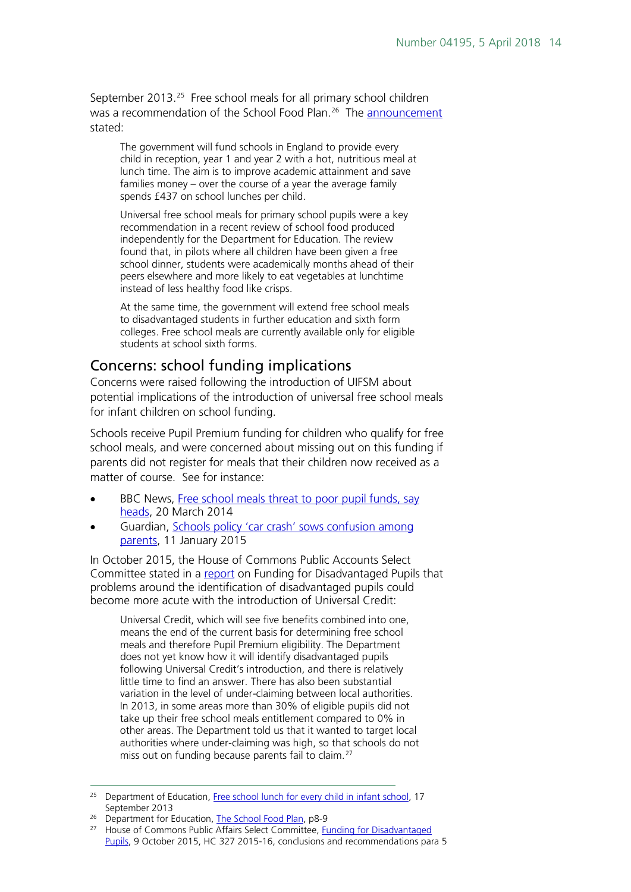September 2013.<sup>[25](#page-13-1)</sup> Free school meals for all primary school children was a recommendation of the School Food Plan.<sup>[26](#page-13-2)</sup> The [announcement](https://www.gov.uk/government/news/free-school-lunch-for-every-child-in-infant-school) stated:

The government will fund schools in England to provide every child in reception, year 1 and year 2 with a hot, nutritious meal at lunch time. The aim is to improve academic attainment and save families money – over the course of a year the average family spends £437 on school lunches per child.

Universal free school meals for primary school pupils were a key recommendation in a recent review of school food produced independently for the Department for Education. The review found that, in pilots where all children have been given a free school dinner, students were academically months ahead of their peers elsewhere and more likely to eat vegetables at lunchtime instead of less healthy food like crisps.

At the same time, the government will extend free school meals to disadvantaged students in further education and sixth form colleges. Free school meals are currently available only for eligible students at school sixth forms.

#### <span id="page-13-0"></span>Concerns: school funding implications

Concerns were raised following the introduction of UIFSM about potential implications of the introduction of universal free school meals for infant children on school funding.

Schools receive Pupil Premium funding for children who qualify for free school meals, and were concerned about missing out on this funding if parents did not register for meals that their children now received as a matter of course. See for instance:

- BBC News, Free school meals threat to poor pupil funds, say [heads,](http://www.bbc.co.uk/news/education-26665336) 20 March 2014
- Guardian, [Schools policy 'car crash' sows confusion among](http://www.theguardian.com/education/2015/jan/11/schools-policy-car-crash-confusion-meals-pupil-premium)  [parents,](http://www.theguardian.com/education/2015/jan/11/schools-policy-car-crash-confusion-meals-pupil-premium) 11 January 2015

In October 2015, the House of Commons Public Accounts Select Committee stated in a [report](http://www.publications.parliament.uk/pa/cm201516/cmselect/cmpubacc/327/327.pdf) on Funding for Disadvantaged Pupils that problems around the identification of disadvantaged pupils could become more acute with the introduction of Universal Credit:

Universal Credit, which will see five benefits combined into one, means the end of the current basis for determining free school meals and therefore Pupil Premium eligibility. The Department does not yet know how it will identify disadvantaged pupils following Universal Credit's introduction, and there is relatively little time to find an answer. There has also been substantial variation in the level of under-claiming between local authorities. In 2013, in some areas more than 30% of eligible pupils did not take up their free school meals entitlement compared to 0% in other areas. The Department told us that it wanted to target local authorities where under-claiming was high, so that schools do not miss out on funding because parents fail to claim.<sup>[27](#page-13-3)</sup>

<span id="page-13-1"></span><sup>&</sup>lt;sup>25</sup> Department of Education, [Free school lunch for every child in infant school,](https://www.gov.uk/government/news/free-school-lunch-for-every-child-in-infant-school) 17 September 2013

<span id="page-13-2"></span> $26$  Department for Education, [The School Food Plan,](https://www.gov.uk/government/publications/the-school-food-plan) p8-9

<span id="page-13-3"></span><sup>&</sup>lt;sup>27</sup> House of Commons Public Affairs Select Committee, Funding for Disadvantaged [Pupils,](http://www.publications.parliament.uk/pa/cm201516/cmselect/cmpubacc/327/327.pdf) 9 October 2015, HC 327 2015-16, conclusions and recommendations para 5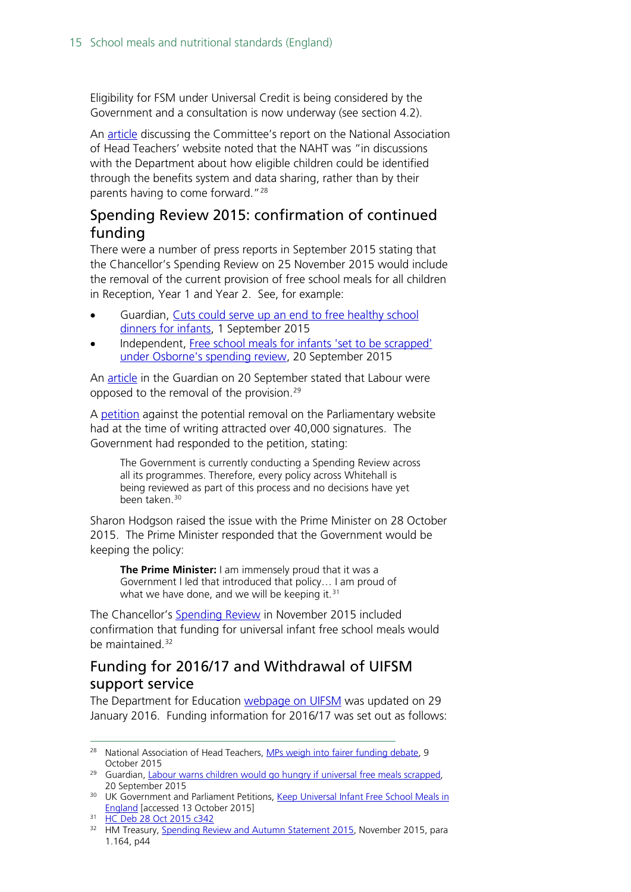Eligibility for FSM under Universal Credit is being considered by the Government and a consultation is now underway (see section 4.2).

An [article](http://www.naht.org.uk/welcome/news-and-media/blogs/susan-young/mps-weigh-in-to-fairer-funding-debate/) discussing the Committee's report on the National Association of Head Teachers' website noted that the NAHT was "in discussions with the Department about how eligible children could be identified through the benefits system and data sharing, rather than by their parents having to come forward."[28](#page-14-2)

#### <span id="page-14-0"></span>Spending Review 2015: confirmation of continued funding

There were a number of press reports in September 2015 stating that the Chancellor's Spending Review on 25 November 2015 would include the removal of the current provision of free school meals for all children in Reception, Year 1 and Year 2. See, for example:

- Guardian, Cuts could serve up [an end to free healthy school](http://www.theguardian.com/education/2015/sep/01/cuts-free-healthy-school-dinners-infants-budget-universal)  [dinners for infants,](http://www.theguardian.com/education/2015/sep/01/cuts-free-healthy-school-dinners-infants-budget-universal) 1 September 2015
- Independent, [Free school meals for infants 'set to be scrapped'](http://www.independent.co.uk/news/education/education-news/free-school-meals-for-infants-set-to-be-scrapped-under-osbornes-spending-review-10509664.html)  [under Osborne's spending review,](http://www.independent.co.uk/news/education/education-news/free-school-meals-for-infants-set-to-be-scrapped-under-osbornes-spending-review-10509664.html) 20 September 2015

An [article](http://www.theguardian.com/education/2015/sep/20/labour-warns-children-would-go-hungry-if-universal-free-meals-scrapped) in the Guardian on 20 September stated that Labour were opposed to the removal of the provision.[29](#page-14-3)

A [petition](https://petition.parliament.uk/petitions/107913) against the potential removal on the Parliamentary website had at the time of writing attracted over 40,000 signatures. The Government had responded to the petition, stating:

The Government is currently conducting a Spending Review across all its programmes. Therefore, every policy across Whitehall is being reviewed as part of this process and no decisions have yet been taken.<sup>[30](#page-14-4)</sup>

Sharon Hodgson raised the issue with the Prime Minister on 28 October 2015. The Prime Minister responded that the Government would be keeping the policy:

**The Prime Minister:** I am immensely proud that it was a Government I led that introduced that policy… I am proud of what we have done, and we will be keeping it. $31$ 

The Chancellor's [Spending](https://www.gov.uk/government/uploads/system/uploads/attachment_data/file/479749/52229_Blue_Book_PU1865_Web_Accessible.pdf) Review in November 2015 included confirmation that funding for universal infant free school meals would be maintained.<sup>[32](#page-14-6)</sup>

#### <span id="page-14-1"></span>Funding for 2016/17 and Withdrawal of UIFSM support service

The Department for Education [webpage on UIFSM](https://www.gov.uk/guidance/universal-infant-free-school-meals-guide-for-schools-and-local-authorities) was updated on 29 January 2016. Funding information for 2016/17 was set out as follows:

<span id="page-14-2"></span><sup>&</sup>lt;sup>28</sup> National Association of Head Teachers, [MPs weigh into fairer funding debate,](http://www.naht.org.uk/welcome/news-and-media/blogs/susan-young/mps-weigh-in-to-fairer-funding-debate/) 9 October 2015

<span id="page-14-3"></span><sup>&</sup>lt;sup>29</sup> Guardian, [Labour warns children would go hungry if universal free meals scrapped,](http://www.theguardian.com/education/2015/sep/20/labour-warns-children-would-go-hungry-if-universal-free-meals-scrapped) 20 September 2015

<span id="page-14-4"></span><sup>&</sup>lt;sup>30</sup> UK Government and Parliament Petitions, Keep Universal Infant Free School Meals in [England](https://petition.parliament.uk/petitions/107913) [accessed 13 October 2015]

<span id="page-14-5"></span><sup>31</sup> [HC Deb 28 Oct 2015 c342](http://www.publications.parliament.uk/pa/cm201516/cmhansrd/cm151028/debtext/151028-0001.htm#15102833000010)

<span id="page-14-6"></span><sup>&</sup>lt;sup>32</sup> HM Treasury, **Spending Review and Autumn Statement 2015, November 2015**, para 1.164, p44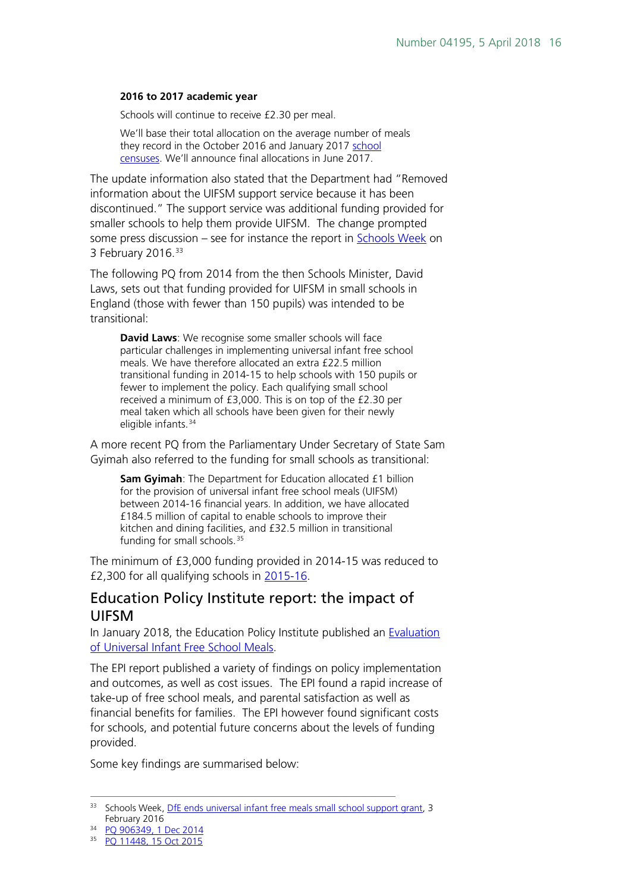#### **2016 to 2017 academic year**

Schools will continue to receive £2.30 per meal.

We'll base their total allocation on the average number of meals they record in the October 2016 and January 2017 [school](https://www.gov.uk/guidance/school-census)  [censuses.](https://www.gov.uk/guidance/school-census) We'll announce final allocations in June 2017.

The update information also stated that the Department had "Removed information about the UIFSM support service because it has been discontinued." The support service was additional funding provided for smaller schools to help them provide UIFSM. The change prompted some press discussion – see for instance the report in [Schools Week](http://schoolsweek.co.uk/dfe-axes-universal-infant-free-school-meals-support-grant/) on 3 February 2016. [33](#page-15-1)

The following PQ from 2014 from the then Schools Minister, David Laws, sets out that funding provided for UIFSM in small schools in England (those with fewer than 150 pupils) was intended to be transitional:

**David Laws**: We recognise some smaller schools will face particular challenges in implementing universal infant free school meals. We have therefore allocated an extra £22.5 million transitional funding in 2014-15 to help schools with 150 pupils or fewer to implement the policy. Each qualifying small school received a minimum of £3,000. This is on top of the £2.30 per meal taken which all schools have been given for their newly eligible infants.<sup>[34](#page-15-2)</sup>

A more recent PQ from the Parliamentary Under Secretary of State Sam Gyimah also referred to the funding for small schools as transitional:

**Sam Gyimah**: The Department for Education allocated £1 billion for the provision of universal infant free school meals (UIFSM) between 2014-16 financial years. In addition, we have allocated £184.5 million of capital to enable schools to improve their kitchen and dining facilities, and £32.5 million in transitional funding for small schools.<sup>[35](#page-15-3)</sup>

The minimum of £3,000 funding provided in 2014-15 was reduced to £2,300 for all qualifying schools in [2015-16.](https://www.gov.uk/government/publications/universal-infant-free-school-meals-uifsm-funding-allocations-2015-to-2016/universal-infant-free-school-meals-uifsm-conditions-of-grant-2015-to-2016)

#### <span id="page-15-0"></span>Education Policy Institute report: the impact of UIFSM

In January 2018, the Education Policy Institute published an [Evaluation](https://epi.org.uk/report/universal-infant-free-school-meals/)  [of Universal Infant Free School Meals.](https://epi.org.uk/report/universal-infant-free-school-meals/)

The EPI report published a variety of findings on policy implementation and outcomes, as well as cost issues. The EPI found a rapid increase of take-up of free school meals, and parental satisfaction as well as financial benefits for families. The EPI however found significant costs for schools, and potential future concerns about the levels of funding provided.

Some key findings are summarised below:

<span id="page-15-1"></span><sup>&</sup>lt;sup>33</sup> Schools Week, *DfE ends universal infant free meals small school support grant*, 3 February 2016

<span id="page-15-2"></span><sup>34</sup> [PQ 906349, 1 Dec 2014](http://www.parliament.uk/written-questions-answers-statements/written-question/commons/2014-11-25/906349)

<span id="page-15-3"></span><sup>35</sup> [PQ 11448, 15 Oct 2015](http://www.parliament.uk/written-questions-answers-statements/written-question/commons/2015-10-12/11448)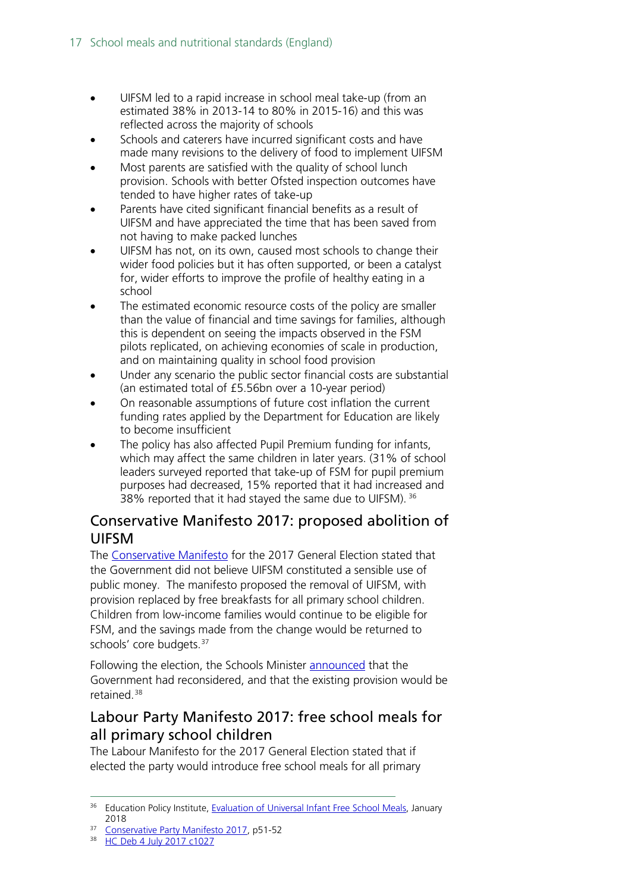- UIFSM led to a rapid increase in school meal take-up (from an estimated 38% in 2013-14 to 80% in 2015-16) and this was reflected across the majority of schools
- Schools and caterers have incurred significant costs and have made many revisions to the delivery of food to implement UIFSM
- Most parents are satisfied with the quality of school lunch provision. Schools with better Ofsted inspection outcomes have tended to have higher rates of take-up
- Parents have cited significant financial benefits as a result of UIFSM and have appreciated the time that has been saved from not having to make packed lunches
- UIFSM has not, on its own, caused most schools to change their wider food policies but it has often supported, or been a catalyst for, wider efforts to improve the profile of healthy eating in a school
- The estimated economic resource costs of the policy are smaller than the value of financial and time savings for families, although this is dependent on seeing the impacts observed in the FSM pilots replicated, on achieving economies of scale in production, and on maintaining quality in school food provision
- Under any scenario the public sector financial costs are substantial (an estimated total of £5.56bn over a 10-year period)
- On reasonable assumptions of future cost inflation the current funding rates applied by the Department for Education are likely to become insufficient
- The policy has also affected Pupil Premium funding for infants, which may affect the same children in later years. (31% of school leaders surveyed reported that take-up of FSM for pupil premium purposes had decreased, 15% reported that it had increased and 38% reported that it had stayed the same due to UIFSM). [36](#page-16-2)

#### <span id="page-16-0"></span>Conservative Manifesto 2017: proposed abolition of UIFSM

The [Conservative Manifesto](https://s3.eu-west-2.amazonaws.com/manifesto2017/Manifesto2017.pdf) for the 2017 General Election stated that the Government did not believe UIFSM constituted a sensible use of public money. The manifesto proposed the removal of UIFSM, with provision replaced by free breakfasts for all primary school children. Children from low-income families would continue to be eligible for FSM, and the savings made from the change would be returned to schools' core budgets. [37](#page-16-3)

Following the election, the Schools Minister [announced](http://hansard.parliament.uk/commons/2017-07-04/debates/6D89EDDE-5572-4E71-8040-929F75D39074/EducationPublicFunding) that the Government had reconsidered, and that the existing provision would be retained.[38](#page-16-4)

#### <span id="page-16-1"></span>Labour Party Manifesto 2017: free school meals for all primary school children

The Labour Manifesto for the 2017 General Election stated that if elected the party would introduce free school meals for all primary

<span id="page-16-2"></span><sup>&</sup>lt;sup>36</sup> Education Policy Institute, [Evaluation of Universal Infant Free School Meals,](https://epi.org.uk/report/universal-infant-free-school-meals/) January 2018

<span id="page-16-4"></span><span id="page-16-3"></span><sup>&</sup>lt;sup>37</sup> [Conservative Party Manifesto 2017,](https://s3.eu-west-2.amazonaws.com/manifesto2017/Manifesto2017.pdf) p51-52

<sup>38</sup> [HC Deb 4 July 2017 c1027](http://hansard.parliament.uk/commons/2017-07-04/debates/6D89EDDE-5572-4E71-8040-929F75D39074/EducationPublicFunding)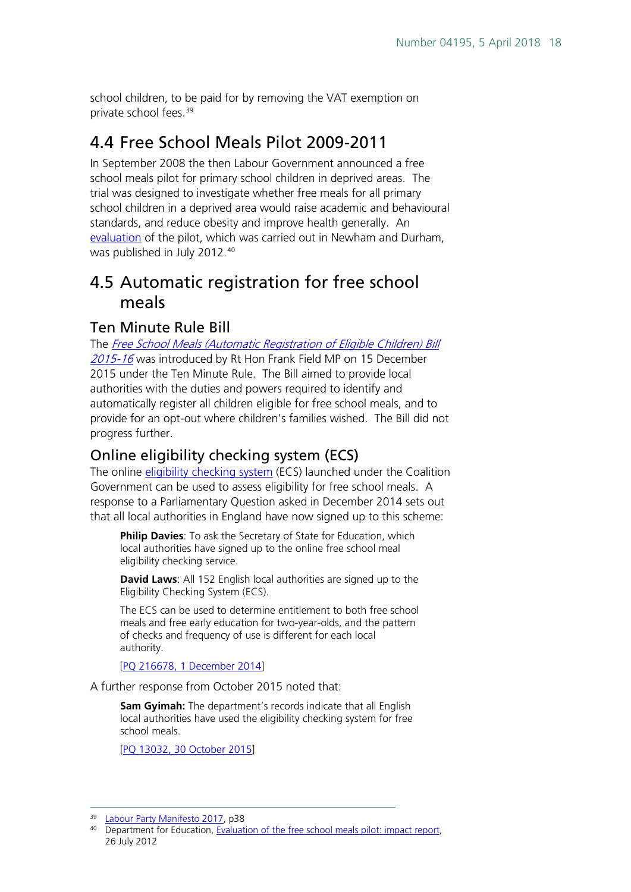school children, to be paid for by removing the VAT exemption on private school fees[.39](#page-17-4)

## <span id="page-17-0"></span>4.4 Free School Meals Pilot 2009-2011

In September 2008 the then Labour Government announced a free school meals pilot for primary school children in deprived areas. The trial was designed to investigate whether free meals for all primary school children in a deprived area would raise academic and behavioural standards, and reduce obesity and improve health generally. An [evaluation](https://www.gov.uk/government/publications/evaluation-of-the-free-school-meals-pilot-impact-report) of the pilot, which was carried out in Newham and Durham, was published in July 2012.[40](#page-17-5)

### <span id="page-17-1"></span>4.5 Automatic registration for free school meals

#### <span id="page-17-2"></span>Ten Minute Rule Bill

The Free School Meals (Automatic Registration of Eligible Children) Bill [2015-16](http://services.parliament.uk/bills/2015-16/freeschoolmealsautomaticregistrationofeligiblechildren.html) was introduced by Rt Hon Frank Field MP on 15 December 2015 under the Ten Minute Rule. The Bill aimed to provide local authorities with the duties and powers required to identify and automatically register all children eligible for free school meals, and to provide for an opt-out where children's families wished. The Bill did not progress further.

#### <span id="page-17-3"></span>Online eligibility checking system (ECS)

The online [eligibility checking system](https://fsm.education.gov.uk/fsm.laportal/) (ECS) launched under the Coalition Government can be used to assess eligibility for free school meals. A response to a Parliamentary Question asked in December 2014 sets out that all local authorities in England have now signed up to this scheme:

**Philip Davies**: To ask the Secretary of State for Education, which local authorities have signed up to the online free school meal eligibility checking service.

**David Laws**: All 152 English local authorities are signed up to the Eligibility Checking System (ECS).

The ECS can be used to determine entitlement to both free school meals and free early education for two-year-olds, and the pattern of checks and frequency of use is different for each local authority.

[\[PQ 216678, 1 December 2014\]](http://www.parliament.uk/written-questions-answers-statements/written-question/commons/2014-12-01/216678)

A further response from October 2015 noted that:

**Sam Gyimah:** The department's records indicate that all English local authorities have used the eligibility checking system for free school meals.

[\[PQ 13032, 30 October 2015\]](http://www.parliament.uk/written-questions-answers-statements/written-question/commons/2015-10-22/13032)

<span id="page-17-4"></span><sup>&</sup>lt;sup>39</sup> [Labour Party Manifesto 2017,](http://www.labour.org.uk/page/-/Images/manifesto-2017/Labour%20Manifesto%202017.pdf) p38

<span id="page-17-5"></span><sup>&</sup>lt;sup>40</sup> Department for Education, [Evaluation of the free school meals pilot: impact report,](https://www.gov.uk/government/publications/evaluation-of-the-free-school-meals-pilot-impact-report) 26 July 2012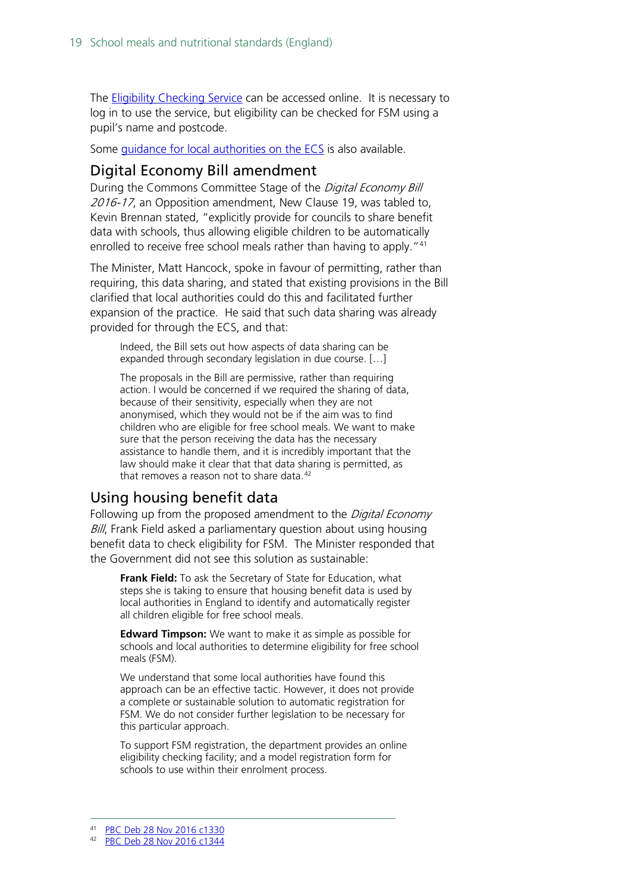The **Eligibility Checking Service** can be accessed online. It is necessary to log in to use the service, but eligibility can be checked for FSM using a pupil's name and postcode.

Some *[guidance for local authorities on the ECS](https://www.cloudforedu.org.uk/ofsm/documents/CD_OFSM-ECS.pdf)* is also available.

#### <span id="page-18-0"></span>Digital Economy Bill amendment

During the Commons Committee Stage of the Digital Economy Bill 2016-17, an Opposition amendment, New Clause 19, was tabled to, Kevin Brennan stated, "explicitly provide for councils to share benefit data with schools, thus allowing eligible children to be automatically enrolled to receive free school meals rather than having to apply. "[41](#page-18-2)

The Minister, Matt Hancock, spoke in favour of permitting, rather than requiring, this data sharing, and stated that existing provisions in the Bill clarified that local authorities could do this and facilitated further expansion of the practice. He said that such data sharing was already provided for through the ECS, and that:

Indeed, the Bill sets out how aspects of data sharing can be expanded through secondary legislation in due course. […]

The proposals in the Bill are permissive, rather than requiring action. I would be concerned if we required the sharing of data, because of their sensitivity, especially when they are not anonymised, which they would not be if the aim was to find children who are eligible for free school meals. We want to make sure that the person receiving the data has the necessary assistance to handle them, and it is incredibly important that the law should make it clear that that data sharing is permitted, as that removes a reason not to share data. $42$ 

#### <span id="page-18-1"></span>Using housing benefit data

Following up from the proposed amendment to the Digital Economy Bill, Frank Field asked a parliamentary question about using housing benefit data to check eligibility for FSM. The Minister responded that the Government did not see this solution as sustainable:

**Frank Field:** To ask the Secretary of State for Education, what steps she is taking to ensure that housing benefit data is used by local authorities in England to identify and automatically register all children eligible for free school meals.

**Edward Timpson:** We want to make it as simple as possible for schools and local authorities to determine eligibility for free school meals (FSM).

We understand that some local authorities have found this approach can be an effective tactic. However, it does not provide a complete or sustainable solution to automatic registration for FSM. We do not consider further legislation to be necessary for this particular approach.

To support FSM registration, the department provides an online eligibility checking facility; and a model registration form for schools to use within their enrolment process.

<span id="page-18-2"></span> <sup>41</sup> [PBC Deb 28 Nov 2016 c1330](https://hansard.parliament.uk/commons/2016-11-28/debates/CF0A21DE-0B55-4A02-8B9F-824ADFDE7C02/DigitalEconomyBill)

<span id="page-18-3"></span>[PBC Deb 28 Nov 2016 c1344](https://hansard.parliament.uk/commons/2016-11-28/debates/CF0A21DE-0B55-4A02-8B9F-824ADFDE7C02/DigitalEconomyBill)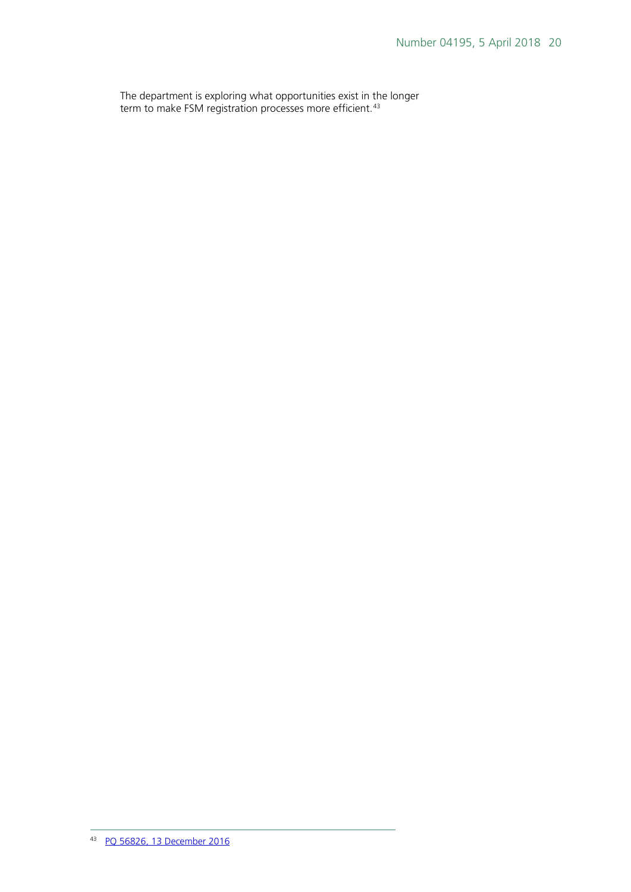<span id="page-19-0"></span>The department is exploring what opportunities exist in the longer term to make FSM registration processes more efficient.<sup>[43](#page-19-0)</sup>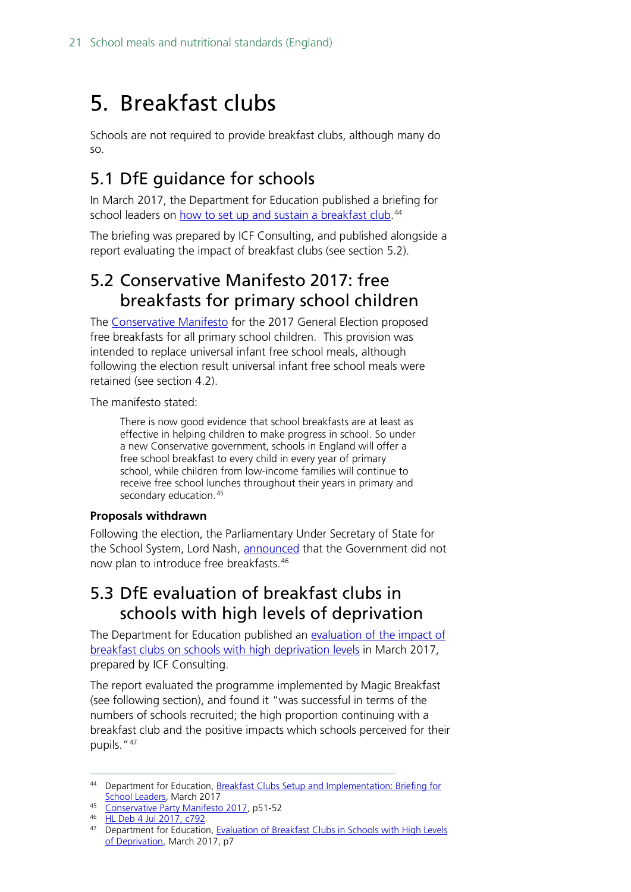## <span id="page-20-0"></span>5. Breakfast clubs

Schools are not required to provide breakfast clubs, although many do so.

## <span id="page-20-1"></span>5.1 DfE guidance for schools

In March 2017, the Department for Education published a briefing for school leaders on <u>how to set up and sustain a breakfast club</u>.<sup>[44](#page-20-4)</sup>

The briefing was prepared by ICF Consulting, and published alongside a report evaluating the impact of breakfast clubs (see section 5.2).

### <span id="page-20-2"></span>5.2 Conservative Manifesto 2017: free breakfasts for primary school children

The [Conservative Manifesto](https://s3.eu-west-2.amazonaws.com/manifesto2017/Manifesto2017.pdf) for the 2017 General Election proposed free breakfasts for all primary school children. This provision was intended to replace universal infant free school meals, although following the election result universal infant free school meals were retained (see section 4.2).

The manifesto stated:

There is now good evidence that school breakfasts are at least as effective in helping children to make progress in school. So under a new Conservative government, schools in England will offer a free school breakfast to every child in every year of primary school, while children from low-income families will continue to receive free school lunches throughout their years in primary and secondary education.<sup>[45](#page-20-5)</sup>

#### **Proposals withdrawn**

Following the election, the Parliamentary Under Secretary of State for the School System, Lord Nash, [announced](https://hansard.parliament.uk/Lords/2017-07-04/debates/022A0F35-DE16-4C17-B010-1FA274C83D33/EducationFunding#contribution-004D4663-CC28-4C02-A4F6-170FF1218D7D) that the Government did not now plan to introduce free breakfasts.[46](#page-20-6)

## <span id="page-20-3"></span>5.3 DfE evaluation of breakfast clubs in schools with high levels of deprivation

The Department for Education published an [evaluation of the impact of](https://www.gov.uk/government/uploads/system/uploads/attachment_data/file/603946/Evaluation_of_Breakfast_Clubs_-_Final_Report.pdf)  breakfast clubs on schools [with high deprivation levels](https://www.gov.uk/government/uploads/system/uploads/attachment_data/file/603946/Evaluation_of_Breakfast_Clubs_-_Final_Report.pdf) in March 2017, prepared by ICF Consulting.

The report evaluated the programme implemented by Magic Breakfast (see following section), and found it "was successful in terms of the numbers of schools recruited; the high proportion continuing with a breakfast club and the positive impacts which schools perceived for their pupils."<sup>[47](#page-20-7)</sup>

<span id="page-20-4"></span><sup>44</sup> Department for Education, Breakfast Clubs Setup and Implementation: Briefing for [School Leaders,](https://www.gov.uk/government/uploads/system/uploads/attachment_data/file/603947/Evaluation_of_Breakfast_Clubs_-School_briefing.pdf) March 2017

<span id="page-20-5"></span><sup>45</sup> [Conservative Party Manifesto 2017,](https://s3.eu-west-2.amazonaws.com/manifesto2017/Manifesto2017.pdf) p51-52

<sup>46</sup> [HL Deb 4 Jul 2017, c792](https://hansard.parliament.uk/Lords/2017-07-04/debates/022A0F35-DE16-4C17-B010-1FA274C83D33/EducationFunding#contribution-004D4663-CC28-4C02-A4F6-170FF1218D7D)

<span id="page-20-7"></span><span id="page-20-6"></span><sup>&</sup>lt;sup>47</sup> Department for Education, Evaluation of Breakfast Clubs in Schools with High Levels [of Deprivation,](https://www.gov.uk/government/uploads/system/uploads/attachment_data/file/603946/Evaluation_of_Breakfast_Clubs_-_Final_Report.pdf) March 2017, p7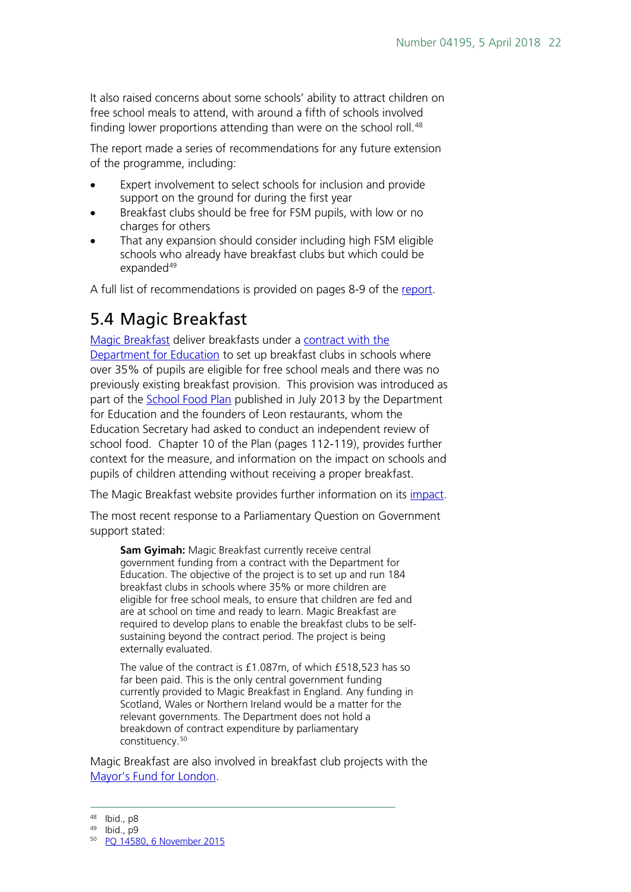It also raised concerns about some schools' ability to attract children on free school meals to attend, with around a fifth of schools involved finding lower proportions attending than were on the school roll.<sup>[48](#page-21-1)</sup>

The report made a series of recommendations for any future extension of the programme, including:

- Expert involvement to select schools for inclusion and provide support on the ground for during the first year
- Breakfast clubs should be free for FSM pupils, with low or no charges for others
- That any expansion should consider including high FSM eligible schools who already have breakfast clubs but which could be expanded<sup>[49](#page-21-2)</sup>

A full list of recommendations is provided on pages 8-9 of the [report.](https://www.gov.uk/government/uploads/system/uploads/attachment_data/file/603946/Evaluation_of_Breakfast_Clubs_-_Final_Report.pdf)

## <span id="page-21-0"></span>5.4 Magic Breakfast

[Magic Breakfast](http://www.magicbreakfast.com/) deliver breakfasts under a [contract with the](http://www.schoolfoodplan.com/breakfast-clubs/)  [Department for Education](http://www.schoolfoodplan.com/breakfast-clubs/) to set up breakfast clubs in schools where over 35% of pupils are eligible for free school meals and there was no previously existing breakfast provision. This provision was introduced as part of the **School Food Plan** published in July 2013 by the Department for Education and the founders of Leon restaurants, whom the Education Secretary had asked to conduct an independent review of school food. Chapter 10 of the Plan (pages 112-119), provides further context for the measure, and information on the impact on schools and pupils of children attending without receiving a proper breakfast.

The Magic Breakfast website provides further information on its [impact.](http://www.magicbreakfast.com/impact-of-magic-breakfast)

The most recent response to a Parliamentary Question on Government support stated:

**Sam Gyimah:** Magic Breakfast currently receive central government funding from a contract with the Department for Education. The objective of the project is to set up and run 184 breakfast clubs in schools where 35% or more children are eligible for free school meals, to ensure that children are fed and are at school on time and ready to learn. Magic Breakfast are required to develop plans to enable the breakfast clubs to be selfsustaining beyond the contract period. The project is being externally evaluated.

The value of the contract is £1.087m, of which £518,523 has so far been paid. This is the only central government funding currently provided to Magic Breakfast in England. Any funding in Scotland, Wales or Northern Ireland would be a matter for the relevant governments. The Department does not hold a breakdown of contract expenditure by parliamentary constituency.[50](#page-21-3)

Magic Breakfast are also involved in breakfast club projects with the [Mayor's Fund for London.](http://www.mayorsfundforlondon.org.uk/programme/breakfast-clubs/)

<span id="page-21-1"></span> <sup>48</sup> Ibid., p8

<span id="page-21-3"></span><span id="page-21-2"></span><sup>49</sup> Ibid., p9

<sup>50</sup> [PQ 14580, 6 November 2015](http://www.parliament.uk/written-questions-answers-statements/written-question/commons/2015-11-03/14580)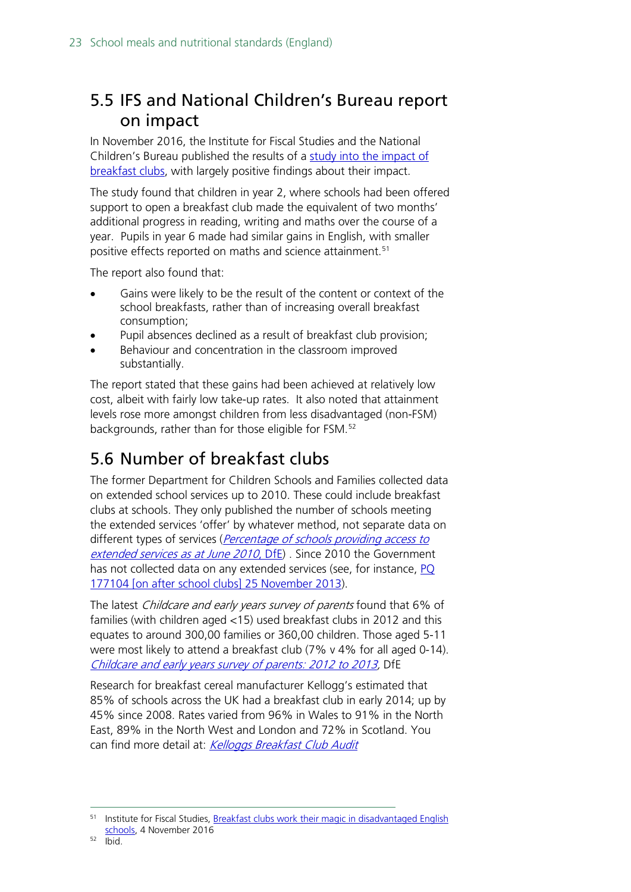## <span id="page-22-0"></span>5.5 IFS and National Children's Bureau report on impact

In November 2016, the Institute for Fiscal Studies and the National Children's Bureau published the results of a [study into the impact of](https://www.ifs.org.uk/publications/8714)  [breakfast clubs,](https://www.ifs.org.uk/publications/8714) with largely positive findings about their impact.

The study found that children in year 2, where schools had been offered support to open a breakfast club made the equivalent of two months' additional progress in reading, writing and maths over the course of a year. Pupils in year 6 made had similar gains in English, with smaller positive effects reported on maths and science attainment. [51](#page-22-2)

The report also found that:

- Gains were likely to be the result of the content or context of the school breakfasts, rather than of increasing overall breakfast consumption;
- Pupil absences declined as a result of breakfast club provision;
- Behaviour and concentration in the classroom improved substantially.

The report stated that these gains had been achieved at relatively low cost, albeit with fairly low take-up rates. It also noted that attainment levels rose more amongst children from less disadvantaged (non-FSM) backgrounds, rather than for those eligible for FSM.[52](#page-22-3)

## <span id="page-22-1"></span>5.6 Number of breakfast clubs

The former Department for Children Schools and Families collected data on extended school services up to 2010. These could include breakfast clubs at schools. They only published the number of schools meeting the extended services 'offer' by whatever method, not separate data on different types of services (*Percentage of schools providing access to* [extended services as at June 2010](https://www.gov.uk/government/statistics/percentage-of-schools-providing-access-to-extended-services-june-2010), DfE). Since 2010 the Government has not collected data on any extended services (see, for instance, PQ [177104 \[on after school clubs\] 25 November 2013\)](http://www.publications.parliament.uk/pa/cm201314/cmhansrd/cm131125/text/131125w0002.htm#13112534000229).

The latest Childcare and early years survey of parents found that 6% of families (with children aged <15) used breakfast clubs in 2012 and this equates to around 300,00 families or 360,00 children. Those aged 5-11 were most likely to attend a breakfast club (7% v 4% for all aged 0-14). [Childcare and early years survey of parents: 2012 to 2013,](https://www.gov.uk/government/statistics/childcare-and-early-years-survey-of-parents-2012-to-2013) DfE

Research for breakfast cereal manufacturer Kellogg's estimated that 85% of schools across the UK had a breakfast club in early 2014; up by 45% since 2008. Rates varied from 96% in Wales to 91% in the North East, 89% in the North West and London and 72% in Scotland. You can find more detail at: [Kelloggs Breakfast Club](http://www.kelloggs.co.uk/content/dam/newton/images/masterbrand/UK/R5_Kelloggs%20Breakfast%20Club%20Audit%20APSE.pdf) Audit

<span id="page-22-3"></span><span id="page-22-2"></span> <sup>51</sup> Institute for Fiscal Studies, [Breakfast clubs work their magic in disadvantaged English](https://www.ifs.org.uk/publications/8714)  [schools,](https://www.ifs.org.uk/publications/8714) 4 November 2016